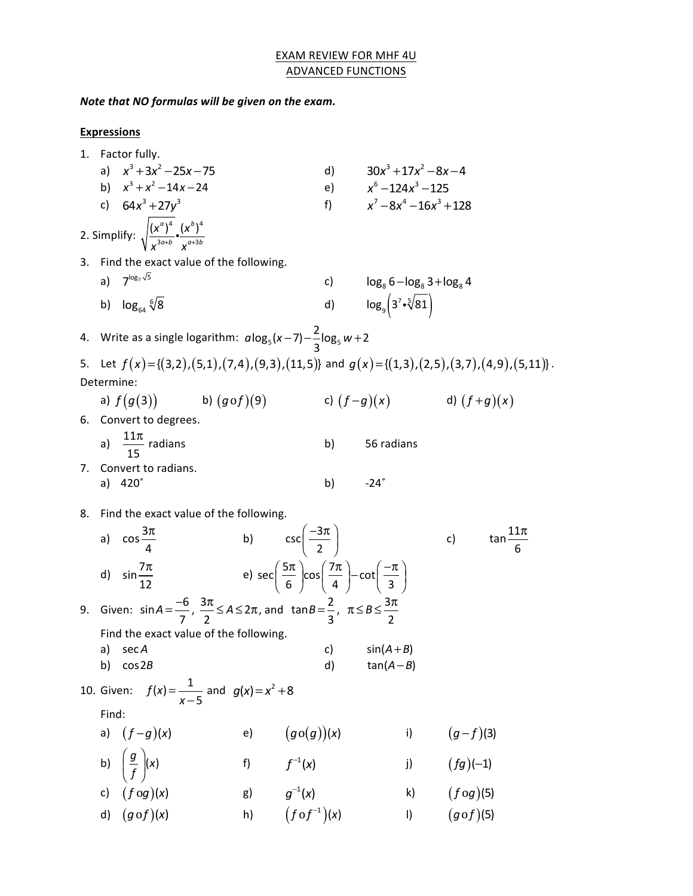# **EXAM REVIEW FOR MHF 4U ADVANCED FUNCTIONS**

*Note that NO formulas will be given on the exam.* 

# **Expressions**

|                                                                                                | 1. Factor fully.                                                                                             |                                                                                                                                   |       |                                                                                                  |                                                 |                                         |  |
|------------------------------------------------------------------------------------------------|--------------------------------------------------------------------------------------------------------------|-----------------------------------------------------------------------------------------------------------------------------------|-------|--------------------------------------------------------------------------------------------------|-------------------------------------------------|-----------------------------------------|--|
|                                                                                                |                                                                                                              | a) $x^3 + 3x^2 - 25x - 75$                                                                                                        |       |                                                                                                  | d) $30x^3 + 17x^2 - 8x - 4$                     |                                         |  |
|                                                                                                |                                                                                                              | b) $x^3 + x^2 - 14x - 24$                                                                                                         |       |                                                                                                  | e) $x^6 - 124x^3 - 125$                         |                                         |  |
|                                                                                                |                                                                                                              | c) $64x^3 + 27y^3$                                                                                                                |       |                                                                                                  | f) $x^7-8x^4-16x^3+128$                         |                                         |  |
| 2. Simplify: $\sqrt{\frac{(x^{\alpha})^4}{x^{3\alpha+b}}} \cdot \frac{(x^b)^4}{x^{\alpha+3b}}$ |                                                                                                              |                                                                                                                                   |       |                                                                                                  |                                                 |                                         |  |
|                                                                                                |                                                                                                              | 3. Find the exact value of the following.                                                                                         |       |                                                                                                  |                                                 |                                         |  |
|                                                                                                |                                                                                                              | a) $7^{\log_7 \sqrt{5}}$                                                                                                          |       |                                                                                                  | c) $\log_8 6 - \log_8 3 + \log_8 4$             |                                         |  |
|                                                                                                |                                                                                                              | b) $\log_{64} \sqrt[6]{8}$                                                                                                        |       |                                                                                                  | d) $\log_9 \left(3^7 \cdot \sqrt[5]{81}\right)$ |                                         |  |
|                                                                                                |                                                                                                              | 4. Write as a single logarithm: $a \log_5(x-7) - \frac{2}{3} \log_5 w + 2$                                                        |       |                                                                                                  |                                                 |                                         |  |
|                                                                                                | 5. Let $f(x) = \{(3,2), (5,1), (7,4), (9,3), (11,5)\}$ and $g(x) = \{(1,3), (2,5), (3,7), (4,9), (5,11)\}$ . |                                                                                                                                   |       |                                                                                                  |                                                 |                                         |  |
| Determine:                                                                                     |                                                                                                              |                                                                                                                                   |       |                                                                                                  |                                                 |                                         |  |
|                                                                                                |                                                                                                              | a) $f(g(3))$ b) $(g \circ f)(9)$ c) $(f-g)(x)$ d) $(f+g)(x)$                                                                      |       |                                                                                                  |                                                 |                                         |  |
|                                                                                                |                                                                                                              | 6. Convert to degrees.                                                                                                            |       |                                                                                                  |                                                 |                                         |  |
|                                                                                                |                                                                                                              | a) $\frac{11\pi}{15}$ radians                                                                                                     |       | b)                                                                                               | 56 radians                                      |                                         |  |
|                                                                                                |                                                                                                              | 7. Convert to radians.                                                                                                            |       |                                                                                                  |                                                 |                                         |  |
|                                                                                                |                                                                                                              | a) $420^\circ$                                                                                                                    |       | b)                                                                                               | $-24^\circ$                                     |                                         |  |
| 8. Find the exact value of the following.                                                      |                                                                                                              |                                                                                                                                   |       |                                                                                                  |                                                 |                                         |  |
|                                                                                                |                                                                                                              | a) $\cos \frac{3\pi}{4}$                                                                                                          |       | b) $\csc\left(\frac{-3\pi}{2}\right)$                                                            |                                                 | $tan \frac{11\pi}{6}$<br>$\mathsf{C}$ ) |  |
|                                                                                                |                                                                                                              | d) $\sin \frac{7\pi}{12}$                                                                                                         |       | e) $sec\left(\frac{5\pi}{6}\right)cos\left(\frac{7\pi}{4}\right)-cot\left(\frac{-\pi}{3}\right)$ |                                                 |                                         |  |
|                                                                                                |                                                                                                              | 9. Given: $\sin A = \frac{-6}{7}$ , $\frac{3\pi}{2} \le A \le 2\pi$ , and $\tan B = \frac{2}{3}$ , $\pi \le B \le \frac{3\pi}{2}$ |       |                                                                                                  |                                                 |                                         |  |
|                                                                                                |                                                                                                              | Find the exact value of the following.                                                                                            |       |                                                                                                  |                                                 |                                         |  |
|                                                                                                |                                                                                                              | a) sec A                                                                                                                          |       |                                                                                                  | c) $sin(A+B)$                                   |                                         |  |
|                                                                                                | b)                                                                                                           | cos 2B                                                                                                                            |       | d)                                                                                               | $tan(A - B)$                                    |                                         |  |
|                                                                                                |                                                                                                              | 10. Given: $f(x) = \frac{1}{x-5}$ and $g(x) = x^2 + 8$                                                                            |       |                                                                                                  |                                                 |                                         |  |
|                                                                                                | Find:                                                                                                        |                                                                                                                                   |       |                                                                                                  |                                                 |                                         |  |
|                                                                                                |                                                                                                              | a) $(f-g)(x)$                                                                                                                     | e)    | (g o(g))(x)                                                                                      | i)                                              | $(g-f)(3)$                              |  |
|                                                                                                |                                                                                                              | b) $\left(\frac{g}{f}\right)(x)$                                                                                                  | $f$ ) | $f^{-1}(x)$                                                                                      | $j$ )                                           | $(fg)(-1)$                              |  |
|                                                                                                | c)                                                                                                           | $(f \circ g)(x)$                                                                                                                  | g)    | $g^{-1}(x)$                                                                                      | k)                                              | $(f \circ g)$ (5)                       |  |
|                                                                                                | d)                                                                                                           | $(g \circ f)(x)$                                                                                                                  | h)    | $(f \circ f^{-1})(x)$                                                                            | I)                                              | $(g \circ f)(5)$                        |  |
|                                                                                                |                                                                                                              |                                                                                                                                   |       |                                                                                                  |                                                 |                                         |  |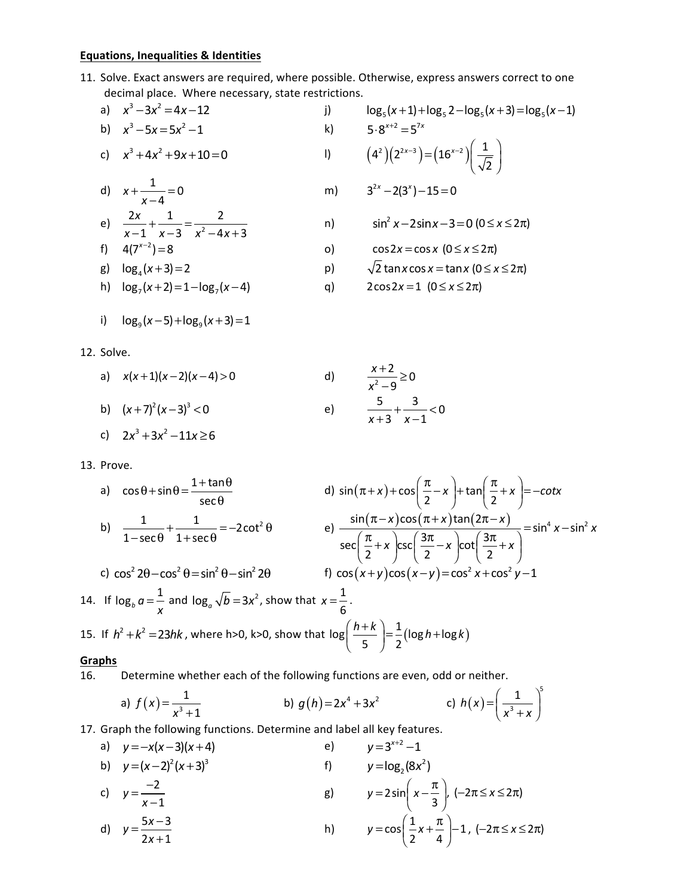## **Equations, Inequalities & Identities**

11. Solve. Exact answers are required, where possible. Otherwise, express answers correct to one decimal place. Where necessary, state restrictions.

a) 
$$
x^3-3x^2=4x-12
$$

b) 
$$
x^3 - 5x = 5x^2 - 1
$$
  
\nc)  $x^3 + 4x^2 + 9x + 10 = 0$   
\nl)

d) 
$$
x + \frac{1}{x-4} = 0
$$
 m)  $3^{2x} - 2(3^x) - 15 = 0$ 

e) 
$$
\frac{2x}{x-1} + \frac{1}{x-3} = \frac{2}{x^2 - 4x + 3}
$$

f) 
$$
4(7^{x-2})=8
$$
 \t\t\t o) \t\t\t cos 2x = cos x (0 \le x \le 2\pi)

g)  $log_4(x+3) = 2$  **p**)  $\sqrt{2}$  tan *x* cos *x* = tan *x* (0  $\le x \le 2\pi$ )

h) 
$$
\log_7(x+2) = 1 - \log_7(x-4)
$$
 q)  $2\cos 2x = 1 (0 \le x \le 2\pi)$ 

i) 
$$
\log_9(x-5)+\log_9(x+3)=1
$$

12. Solve.

a) 
$$
x(x+1)(x-2)(x-4) > 0
$$
 d)  $\frac{x+2}{x^2-9} \ge$ 

b)  $(x+7)^2(x-3)^3 < 0$  e)  $\frac{5}{2} + \frac{3}{2} < 0$  $x + 3$   $x - 1$  $+3$   $x-$ 

c) 
$$
2x^3 + 3x^2 - 11x \ge 6
$$

13. Prove.

a) 
$$
\cos\theta + \sin\theta = \frac{1 + \tan\theta}{\sec\theta}
$$
  
\nd)  $\sin(\pi + x) + \cos\left(\frac{\pi}{2} - x\right) + \tan\left(\frac{\pi}{2} + x\right) = -\cot x$   
\nb)  $\frac{1}{1 - \sec\theta} + \frac{1}{1 + \sec\theta} = -2\cot^2\theta$   
\ne)  $\frac{\sin(\pi - x)\cos(\pi + x)\tan(2\pi - x)}{\sec\left(\frac{\pi}{2} + x\right)\csc\left(\frac{3\pi}{2} - x\right)\cot\left(\frac{3\pi}{2} + x\right)} = \sin^4 x - \sin^2 x$   
\nc)  $\cos^2 2\theta - \cos^2 \theta = \sin^2 \theta - \sin^2 2\theta$   
\nf)  $\cos(x + y)\cos(x - y) = \cos^2 x + \cos^2 y - 1$   
\n14. If  $\log_b a = \frac{1}{x}$  and  $\log_a \sqrt{b} = 3x^2$ , show that  $x = \frac{1}{6}$ .  
\n15. If  $h^2 + k^2 = 23hk$ , where h>0, k>0, show that  $\log\left(\frac{h+k}{5}\right) = \frac{1}{2}(\log h + \log k)$ 

#### **Graphs**

16. Determine whether each of the following functions are even, odd or neither.

a) 
$$
f(x) = \frac{1}{x^3 + 1}
$$
   
b)  $g(h) = 2x^4 + 3x^2$    
c)  $h(x) = \left(\frac{1}{x^3 + x}\right)^5$ 

17. Graph the following functions. Determine and label all key features.<br>
a)  $y = -x(x-3)(x+4)$  e)  $y = 3^{x+2}-1$ a)  $y = -x(x-3)(x+4)$  e) b)  $y=(x-2)^2(x+3)^3$ f)  $y = log_2(8x^2)$ 

c) 
$$
y = \frac{-2}{x-1}
$$
  
\nd)  $y = \frac{5x-3}{2x+1}$   
\ng)  $y = 2\sin\left(x - \frac{\pi}{3}\right), (-2\pi \le x \le 2\pi)$   
\nh)  $y = \cos\left(\frac{1}{2}x + \frac{\pi}{4}\right) - 1, (-2\pi \le x \le 2\pi)$ 

a) 3 2 *xx x* −3 4 12 = − j) 5 55 5 log ( 1) log 2 log ( 3) log ( 1) *x xx* + + − + = − 2 *x x* − − ⎛ ⎞ <sup>=</sup> ⎜ ⎟ ⎝ ⎠ n) <sup>2</sup> sin 2sin 3 0 *x x* − − = (0 2 ) ≤ ≤π *x*

$$
\sqrt{2} \tan x \cos x = \tan x \ (0 \le x \le 2\pi
$$

q) 
$$
2\cos 2x = 1 \quad (0 \leq x \leq 2\pi)
$$

 $\frac{2}{2} \geq 0$ 9

 $+$   $<$ 

*x*